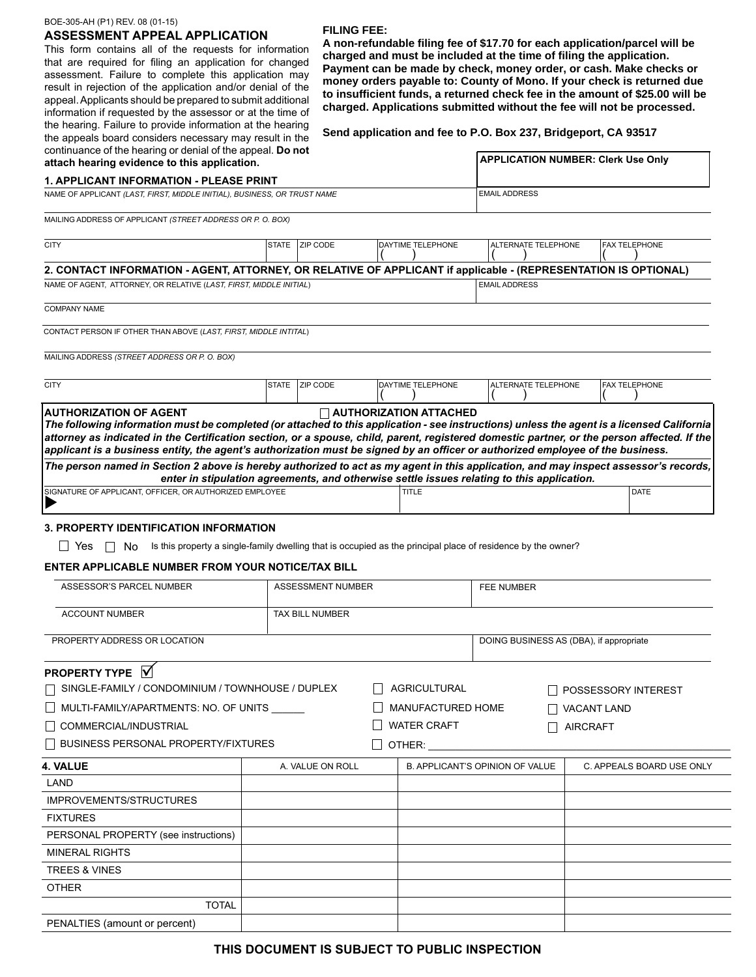# BOE-305-AH (P1) REV. 08 (01-15)

# **ASSESSMENT APPEAL APPLICATION**

This form contains all of the requests for information that are required for filing an application for changed assessment. Failure to complete this application may result in rejection of the application and/or denial of the appeal. Applicants should be prepared to submit additional information if requested by the assessor or at the time of the hearing. Failure to provide information at the hearing the appeals board considers necessary may result in the

#### **FILING FEE:**

**A non-refundable filing fee of \$17.70 for each application/parcel will be charged and must be included at the time of filing the application. Payment can be made by check, money order, or cash. Make checks or money orders payable to: County of Mono. If your check is returned due to insufficient funds, a returned check fee in the amount of \$25.00 will be charged. Applications submitted without the fee will not be processed.** 

**Send application and fee to P.O. Box 237, Bridgeport, CA 93517**

| continuance of the hearing or denial of the appeal. Do not<br>attach hearing evidence to this application.                                                                                                                                                                                                                                                                                                                                                   | <b>APPLICATION NUMBER: Clerk Use Only</b>                                                                    |                               |                                                                                            |                      |  |  |
|--------------------------------------------------------------------------------------------------------------------------------------------------------------------------------------------------------------------------------------------------------------------------------------------------------------------------------------------------------------------------------------------------------------------------------------------------------------|--------------------------------------------------------------------------------------------------------------|-------------------------------|--------------------------------------------------------------------------------------------|----------------------|--|--|
| <b>1. APPLICANT INFORMATION - PLEASE PRINT</b>                                                                                                                                                                                                                                                                                                                                                                                                               |                                                                                                              |                               |                                                                                            |                      |  |  |
| NAME OF APPLICANT (LAST, FIRST, MIDDLE INITIAL), BUSINESS, OR TRUST NAME                                                                                                                                                                                                                                                                                                                                                                                     | <b>EMAIL ADDRESS</b>                                                                                         |                               |                                                                                            |                      |  |  |
| MAILING ADDRESS OF APPLICANT (STREET ADDRESS OR P. O. BOX)                                                                                                                                                                                                                                                                                                                                                                                                   |                                                                                                              |                               |                                                                                            |                      |  |  |
| <b>CITY</b>                                                                                                                                                                                                                                                                                                                                                                                                                                                  | STATE ZIP CODE                                                                                               | DAYTIME TELEPHONE             | ALTERNATE TELEPHONE                                                                        | <b>FAX TELEPHONE</b> |  |  |
| 2. CONTACT INFORMATION - AGENT, ATTORNEY, OR RELATIVE OF APPLICANT if applicable - (REPRESENTATION IS OPTIONAL)                                                                                                                                                                                                                                                                                                                                              |                                                                                                              |                               |                                                                                            |                      |  |  |
| NAME OF AGENT, ATTORNEY, OR RELATIVE (LAST, FIRST, MIDDLE INITIAL)                                                                                                                                                                                                                                                                                                                                                                                           |                                                                                                              |                               | <b>EMAIL ADDRESS</b>                                                                       |                      |  |  |
| <b>COMPANY NAME</b>                                                                                                                                                                                                                                                                                                                                                                                                                                          |                                                                                                              |                               |                                                                                            |                      |  |  |
| CONTACT PERSON IF OTHER THAN ABOVE (LAST, FIRST, MIDDLE INTITAL)                                                                                                                                                                                                                                                                                                                                                                                             |                                                                                                              |                               |                                                                                            |                      |  |  |
| MAILING ADDRESS (STREET ADDRESS OR P. O. BOX)                                                                                                                                                                                                                                                                                                                                                                                                                |                                                                                                              |                               |                                                                                            |                      |  |  |
| <b>CITY</b>                                                                                                                                                                                                                                                                                                                                                                                                                                                  | STATE ZIP CODE                                                                                               | DAYTIME TELEPHONE             | ALTERNATE TELEPHONE                                                                        | <b>FAX TELEPHONE</b> |  |  |
| <b>AUTHORIZATION OF AGENT</b><br>The following information must be completed (or attached to this application - see instructions) unless the agent is a licensed California<br>attorney as indicated in the Certification section, or a spouse, child, parent, registered domestic partner, or the person affected. If the<br>applicant is a business entity, the agent's authorization must be signed by an officer or authorized employee of the business. |                                                                                                              | <b>AUTHORIZATION ATTACHED</b> |                                                                                            |                      |  |  |
| The person named in Section 2 above is hereby authorized to act as my agent in this application, and may inspect assessor's records,                                                                                                                                                                                                                                                                                                                         |                                                                                                              |                               | enter in stipulation agreements, and otherwise settle issues relating to this application. |                      |  |  |
| SIGNATURE OF APPLICANT, OFFICER, OR AUTHORIZED EMPLOYEE                                                                                                                                                                                                                                                                                                                                                                                                      |                                                                                                              | <b>TITLE</b>                  |                                                                                            | <b>DATE</b>          |  |  |
| 3. PROPERTY IDENTIFICATION INFORMATION                                                                                                                                                                                                                                                                                                                                                                                                                       |                                                                                                              |                               |                                                                                            |                      |  |  |
| Yes<br>$\perp$<br>No                                                                                                                                                                                                                                                                                                                                                                                                                                         | Is this property a single-family dwelling that is occupied as the principal place of residence by the owner? |                               |                                                                                            |                      |  |  |
| <b>ENTER APPLICABLE NUMBER FROM YOUR NOTICE/TAX BILL</b>                                                                                                                                                                                                                                                                                                                                                                                                     |                                                                                                              |                               |                                                                                            |                      |  |  |
| ASSESSOR'S PARCEL NUMBER                                                                                                                                                                                                                                                                                                                                                                                                                                     |                                                                                                              | ASSESSMENT NUMBER             |                                                                                            | <b>FEE NUMBER</b>    |  |  |
| <b>ACCOUNT NUMBER</b>                                                                                                                                                                                                                                                                                                                                                                                                                                        | <b>TAX BILL NUMBER</b>                                                                                       |                               |                                                                                            |                      |  |  |
| PROPERTY ADDRESS OR LOCATION                                                                                                                                                                                                                                                                                                                                                                                                                                 |                                                                                                              |                               | DOING BUSINESS AS (DBA), if appropriate                                                    |                      |  |  |

# **PROPERTY TYPE**  $\overline{M}$

| $\Box$ SINGLE-FAMILY / CONDOMINIUM / TOWNHOUSE / DUPLEX |  |        |                                                                | POSSESSORY INTEREST                    |  |  |  |
|---------------------------------------------------------|--|--------|----------------------------------------------------------------|----------------------------------------|--|--|--|
| $\hfill\Box$ multi-family/apartments: No. of units      |  |        |                                                                | <b>VACANT LAND</b>                     |  |  |  |
| COMMERCIAL/INDUSTRIAL                                   |  |        |                                                                | <b>AIRCRAFT</b>                        |  |  |  |
| $\Box$ BUSINESS PERSONAL PROPERTY/FIXTURES              |  | OTHER: |                                                                |                                        |  |  |  |
| 4. VALUE<br>A. VALUE ON ROLL                            |  |        |                                                                | C. APPEALS BOARD USE ONLY              |  |  |  |
|                                                         |  |        |                                                                |                                        |  |  |  |
|                                                         |  |        |                                                                |                                        |  |  |  |
|                                                         |  |        |                                                                |                                        |  |  |  |
|                                                         |  |        |                                                                |                                        |  |  |  |
|                                                         |  |        |                                                                |                                        |  |  |  |
|                                                         |  |        |                                                                |                                        |  |  |  |
|                                                         |  |        |                                                                |                                        |  |  |  |
|                                                         |  |        |                                                                |                                        |  |  |  |
|                                                         |  |        |                                                                |                                        |  |  |  |
|                                                         |  |        | <b>AGRICULTURAL</b><br>MANUFACTURED HOME<br><b>WATER CRAFT</b> | <b>B. APPLICANT'S OPINION OF VALUE</b> |  |  |  |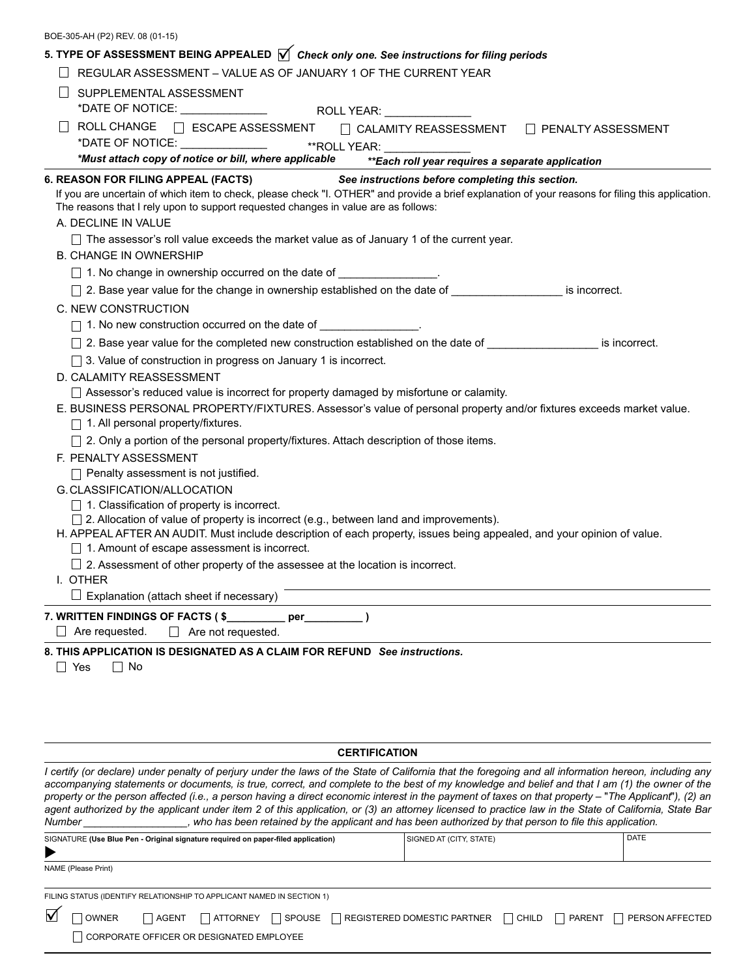| BOE-305-AH (P2) REV. 08 (01-15) |  |  |  |
|---------------------------------|--|--|--|
|---------------------------------|--|--|--|

| 5. TYPE OF ASSESSMENT BEING APPEALED $\sqrt{\ }$ Check only one. See instructions for filing periods                                                                                                                                      |
|-------------------------------------------------------------------------------------------------------------------------------------------------------------------------------------------------------------------------------------------|
| REGULAR ASSESSMENT - VALUE AS OF JANUARY 1 OF THE CURRENT YEAR                                                                                                                                                                            |
| SUPPLEMENTAL ASSESSMENT                                                                                                                                                                                                                   |
|                                                                                                                                                                                                                                           |
| ROLL CHANGE □ ESCAPE ASSESSMENT □ CALAMITY REASSESSMENT □ PENALTY ASSESSMENT                                                                                                                                                              |
|                                                                                                                                                                                                                                           |
| *Must attach copy of notice or bill, where applicable **Each roll year requires a separate application                                                                                                                                    |
| 6. REASON FOR FILING APPEAL (FACTS) See instructions before completing this section.<br>If you are uncertain of which item to check, please check "I. OTHER" and provide a brief explanation of your reasons for filing this application. |
| The reasons that I rely upon to support requested changes in value are as follows:                                                                                                                                                        |
| A. DECLINE IN VALUE                                                                                                                                                                                                                       |
| $\Box$ The assessor's roll value exceeds the market value as of January 1 of the current year.                                                                                                                                            |
| <b>B. CHANGE IN OWNERSHIP</b>                                                                                                                                                                                                             |
| □ 1. No change in ownership occurred on the date of ________________.                                                                                                                                                                     |
| □ 2. Base year value for the change in ownership established on the date of ______________________ is incorrect.                                                                                                                          |
| C. NEW CONSTRUCTION                                                                                                                                                                                                                       |
| □ 1. No new construction occurred on the date of _________________.                                                                                                                                                                       |
| □ 2. Base year value for the completed new construction established on the date of ________________ is incorrect.                                                                                                                         |
| □ 3. Value of construction in progress on January 1 is incorrect.                                                                                                                                                                         |
| D. CALAMITY REASSESSMENT                                                                                                                                                                                                                  |
| □ Assessor's reduced value is incorrect for property damaged by misfortune or calamity.                                                                                                                                                   |
| E. BUSINESS PERSONAL PROPERTY/FIXTURES. Assessor's value of personal property and/or fixtures exceeds market value.<br>$\Box$ 1. All personal property/fixtures.                                                                          |
| □ 2. Only a portion of the personal property/fixtures. Attach description of those items.                                                                                                                                                 |
| F. PENALTY ASSESSMENT                                                                                                                                                                                                                     |
| $\Box$ Penalty assessment is not justified.                                                                                                                                                                                               |
| G. CLASSIFICATION/ALLOCATION                                                                                                                                                                                                              |
| $\Box$ 1. Classification of property is incorrect.                                                                                                                                                                                        |
| $\Box$ 2. Allocation of value of property is incorrect (e.g., between land and improvements).                                                                                                                                             |
| H. APPEAL AFTER AN AUDIT. Must include description of each property, issues being appealed, and your opinion of value.<br>1. Amount of escape assessment is incorrect.                                                                    |
| $\Box$ 2. Assessment of other property of the assessee at the location is incorrect.                                                                                                                                                      |
| I. OTHER                                                                                                                                                                                                                                  |
| $\Box$ Explanation (attach sheet if necessary) $\Box$                                                                                                                                                                                     |
| 7. WRITTEN FINDINGS OF FACTS (\$<br>perr                                                                                                                                                                                                  |
| Are requested.<br>$\Box$ Are not requested.                                                                                                                                                                                               |
| 8. THIS APPLICATION IS DESIGNATED AS A CLAIM FOR REFUND See instructions.                                                                                                                                                                 |
| $\Box$ Yes<br>$\Box$ No                                                                                                                                                                                                                   |
|                                                                                                                                                                                                                                           |
|                                                                                                                                                                                                                                           |
|                                                                                                                                                                                                                                           |

# **CERTIFICATION**

*I certify (or declare) under penalty of perjury under the laws of the State of California that the foregoing and all information hereon, including any* accompanying statements or documents, is true, correct, and complete to the best of my knowledge and belief and that I am (1) the owner of the *property or the person affected (i.e., a person having a direct economic interest in the payment of taxes on that property – "The Applicant"), (2) an* agent authorized by the applicant under item 2 of this application, or (3) an attorney licensed to practice law in the State of California, State Bar Number \_\_\_\_\_\_\_, who has been retained by the applicant and has been auth *Number \_\_\_\_\_\_\_\_\_\_\_\_\_\_\_\_\_\_, who has been retained by the applicant and has been authorized by that person to file this application.*

| SIGNATURE (Use Blue Pen - Original signature required on paper-filed application)<br>▶ |                     |  |                                                                       | SIGNED AT (CITY, STATE) |                                                                 |  | <b>DATE</b> |                 |  |
|----------------------------------------------------------------------------------------|---------------------|--|-----------------------------------------------------------------------|-------------------------|-----------------------------------------------------------------|--|-------------|-----------------|--|
|                                                                                        |                     |  |                                                                       |                         |                                                                 |  |             |                 |  |
|                                                                                        | NAME (Please Print) |  |                                                                       |                         |                                                                 |  |             |                 |  |
|                                                                                        |                     |  | FILING STATUS (IDENTIFY RELATIONSHIP TO APPLICANT NAMED IN SECTION 1) |                         |                                                                 |  |             |                 |  |
|                                                                                        | <b>OWNER</b>        |  |                                                                       |                         | AGENT   ATTORNEY   SPOUSE   REGISTERED DOMESTIC PARTNER   CHILD |  | PARENT      | PERSON AFFECTED |  |
|                                                                                        |                     |  | CORPORATE OFFICER OR DESIGNATED EMPLOYEE                              |                         |                                                                 |  |             |                 |  |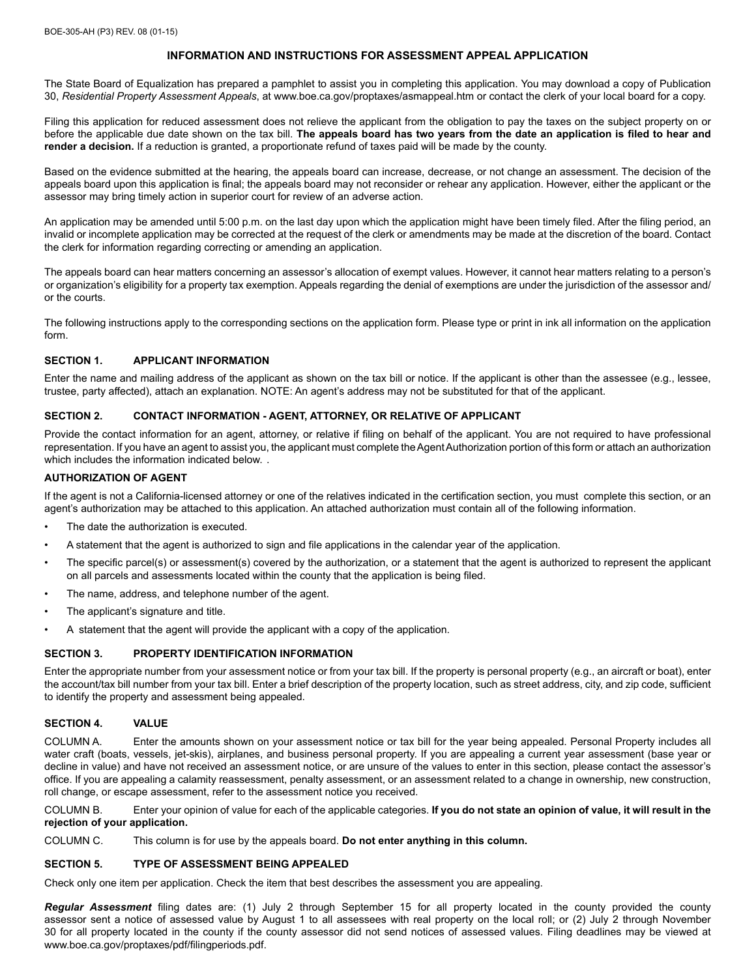# **INFORMATION AND INSTRUCTIONS FOR ASSESSMENT APPEAL APPLICATION**

The State Board of Equalization has prepared a pamphlet to assist you in completing this application. You may download a copy of Publication 30, *Residential Property Assessment Appeals*, at www.boe.ca.gov/proptaxes/asmappeal.htm or contact the clerk of your local board for a copy.

Filing this application for reduced assessment does not relieve the applicant from the obligation to pay the taxes on the subject property on or before the applicable due date shown on the tax bill. **The appeals board has two years from the date an application is filed to hear and render a decision.** If a reduction is granted, a proportionate refund of taxes paid will be made by the county.

Based on the evidence submitted at the hearing, the appeals board can increase, decrease, or not change an assessment. The decision of the appeals board upon this application is final; the appeals board may not reconsider or rehear any application. However, either the applicant or the assessor may bring timely action in superior court for review of an adverse action.

An application may be amended until 5:00 p.m. on the last day upon which the application might have been timely filed. After the filing period, an invalid or incomplete application may be corrected at the request of the clerk or amendments may be made at the discretion of the board. Contact the clerk for information regarding correcting or amending an application.

The appeals board can hear matters concerning an assessor's allocation of exempt values. However, it cannot hear matters relating to a person's or organization's eligibility for a property tax exemption. Appeals regarding the denial of exemptions are under the jurisdiction of the assessor and/ or the courts.

The following instructions apply to the corresponding sections on the application form. Please type or print in ink all information on the application form.

#### **SECTION 1. APPLICANT INFORMATION**

Enter the name and mailing address of the applicant as shown on the tax bill or notice. If the applicant is other than the assessee (e.g., lessee, trustee, party affected), attach an explanation. NOTE: An agent's address may not be substituted for that of the applicant.

## **SECTION 2. CONTACT INFORMATION - AGENT, ATTORNEY, OR RELATIVE OF APPLICANT**

Provide the contact information for an agent, attorney, or relative if filing on behalf of the applicant. You are not required to have professional representation. If you have an agent to assist you, the applicant must complete the Agent Authorization portion of this form or attach an authorization which includes the information indicated below.

## **AUTHORIZATION OF AGENT**

If the agent is not a California-licensed attorney or one of the relatives indicated in the certification section, you must complete this section, or an agent's authorization may be attached to this application. An attached authorization must contain all of the following information.

- The date the authorization is executed.
- A statement that the agent is authorized to sign and file applications in the calendar year of the application.
- The specific parcel(s) or assessment(s) covered by the authorization, or a statement that the agent is authorized to represent the applicant on all parcels and assessments located within the county that the application is being filed.
- The name, address, and telephone number of the agent.
- The applicant's signature and title.
- A statement that the agent will provide the applicant with a copy of the application.

#### **SECTION 3. PROPERTY IDENTIFICATION INFORMATION**

Enter the appropriate number from your assessment notice or from your tax bill. If the property is personal property (e.g., an aircraft or boat), enter the account/tax bill number from your tax bill. Enter a brief description of the property location, such as street address, city, and zip code, sufficient to identify the property and assessment being appealed.

#### **SECTION 4. VALUE**

COLUMN A. Enter the amounts shown on your assessment notice or tax bill for the year being appealed. Personal Property includes all water craft (boats, vessels, jet-skis), airplanes, and business personal property. If you are appealing a current year assessment (base year or decline in value) and have not received an assessment notice, or are unsure of the values to enter in this section, please contact the assessor's office. If you are appealing a calamity reassessment, penalty assessment, or an assessment related to a change in ownership, new construction, roll change, or escape assessment, refer to the assessment notice you received.

COLUMN B. Enter your opinion of value for each of the applicable categories. **If you do not state an opinion of value, it will result in the rejection of your application.**

COLUMN C. This column is for use by the appeals board. **Do not enter anything in this column.**

## **SECTION 5. TYPE OF ASSESSMENT BEING APPEALED**

Check only one item per application. Check the item that best describes the assessment you are appealing.

*Regular Assessment* filing dates are: (1) July 2 through September 15 for all property located in the county provided the county assessor sent a notice of assessed value by August 1 to all assessees with real property on the local roll; or (2) July 2 through November 30 for all property located in the county if the county assessor did not send notices of assessed values. Filing deadlines may be viewed at www.boe.ca.gov/proptaxes/pdf/filingperiods.pdf.